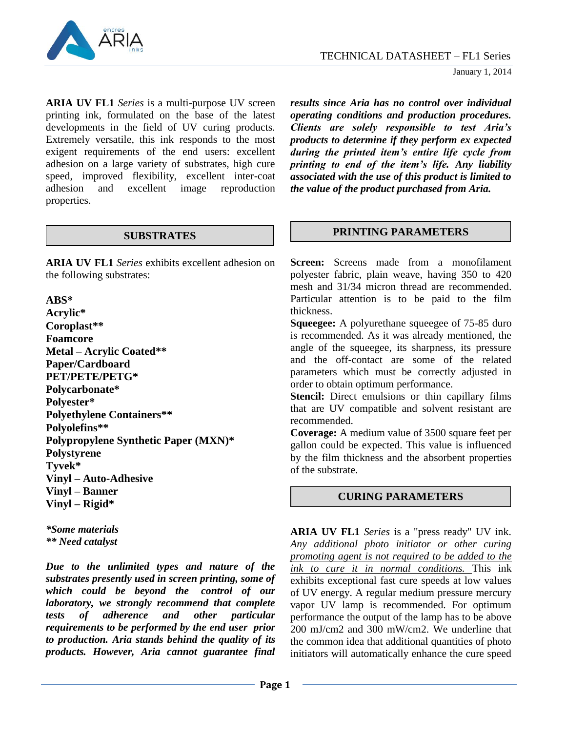

**ARIA UV FL1** *Series* is a multi-purpose UV screen printing ink, formulated on the base of the latest developments in the field of UV curing products. Extremely versatile, this ink responds to the most exigent requirements of the end users: excellent adhesion on a large variety of substrates, high cure speed, improved flexibility, excellent inter-coat adhesion and excellent image reproduction properties.

**ARIA UV FL1** *Series* exhibits excellent adhesion on the following substrates:

#### **ABS\***

**Acrylic\* Coroplast\*\* Foamcore Metal – Acrylic Coated\*\* Paper/Cardboard PET/PETE/PETG\* Polycarbonate\* Polyester\* Polyethylene Containers\*\* Polyolefins\*\* Polypropylene Synthetic Paper (MXN)\* Polystyrene Tyvek\* Vinyl – Auto-Adhesive Vinyl – Banner Vinyl – Rigid\***

*\*Some materials \*\* Need catalyst*

*Due to the unlimited types and nature of the substrates presently used in screen printing, some of which could be beyond the control of our laboratory, we strongly recommend that complete tests of adherence and other particular requirements to be performed by the end user prior to production. Aria stands behind the quality of its products. However, Aria cannot guarantee final* 

*results since Aria has no control over individual operating conditions and production procedures. Clients are solely responsible to test Aria's products to determine if they perform ex expected during the printed item's entire life cycle from printing to end of the item's life. Any liability associated with the use of this product is limited to the value of the product purchased from Aria.*

# **SUBSTRATES PRINTING PARAMETERS**

**Screen:** Screens made from a monofilament polyester fabric, plain weave, having 350 to 420 mesh and 31/34 micron thread are recommended. Particular attention is to be paid to the film thickness.

**Squeegee:** A polyurethane squeegee of 75-85 duro is recommended. As it was already mentioned, the angle of the squeegee, its sharpness, its pressure and the off-contact are some of the related parameters which must be correctly adjusted in order to obtain optimum performance.

**Stencil:** Direct emulsions or thin capillary films that are UV compatible and solvent resistant are recommended.

**Coverage:** A medium value of 3500 square feet per gallon could be expected. This value is influenced by the film thickness and the absorbent properties of the substrate.

## **CURING PARAMETERS**

**ARIA UV FL1** *Series* is a "press ready" UV ink. *Any additional photo initiator or other curing promoting agent is not required to be added to the ink to cure it in normal conditions.* This ink exhibits exceptional fast cure speeds at low values of UV energy. A regular medium pressure mercury vapor UV lamp is recommended. For optimum performance the output of the lamp has to be above 200 mJ/cm2 and 300 mW/cm2. We underline that the common idea that additional quantities of photo initiators will automatically enhance the cure speed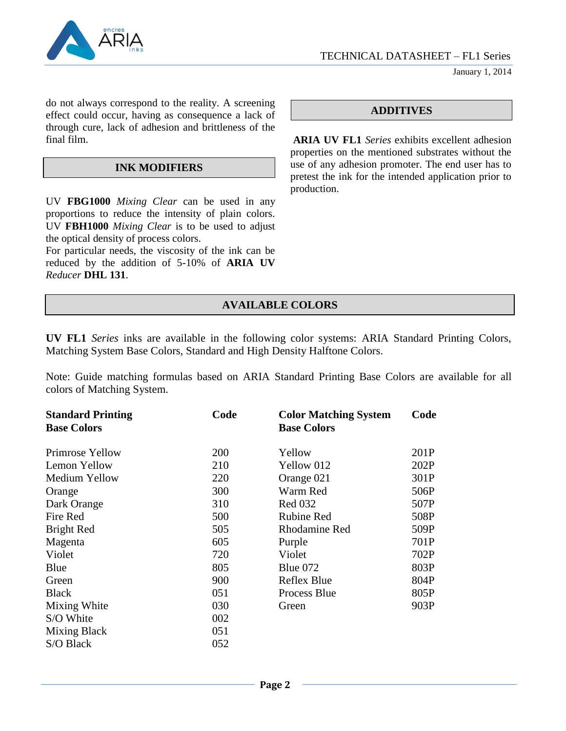

January 1, 2014

do not always correspond to the reality. A screening effect could occur, having as consequence a lack of through cure, lack of adhesion and brittleness of the final film.

#### **INK MODIFIERS**

UV **FBG1000** *Mixing Clear* can be used in any proportions to reduce the intensity of plain colors. UV **FBH1000** *Mixing Clear* is to be used to adjust the optical density of process colors.

For particular needs, the viscosity of the ink can be reduced by the addition of 5-10% of **ARIA UV** *Reducer* **DHL 131**.

## **ADDITIVES**

**ARIA UV FL1** *Series* exhibits excellent adhesion properties on the mentioned substrates without the use of any adhesion promoter. The end user has to pretest the ink for the intended application prior to production.

## **AVAILABLE COLORS**

**UV FL1** *Series* inks are available in the following color systems: ARIA Standard Printing Colors, Matching System Base Colors, Standard and High Density Halftone Colors.

Note: Guide matching formulas based on ARIA Standard Printing Base Colors are available for all colors of Matching System.

| <b>Standard Printing</b><br><b>Base Colors</b> | Code       | <b>Color Matching System</b><br><b>Base Colors</b> | Code |
|------------------------------------------------|------------|----------------------------------------------------|------|
|                                                |            |                                                    |      |
| Primrose Yellow                                | <b>200</b> | Yellow                                             | 201P |
| Lemon Yellow                                   | 210        | Yellow 012                                         | 202P |
| Medium Yellow                                  | 220        | Orange 021                                         | 301P |
| Orange                                         | 300        | Warm Red                                           | 506P |
| Dark Orange                                    | 310        | <b>Red 032</b>                                     | 507P |
| Fire Red                                       | 500        | <b>Rubine Red</b>                                  | 508P |
| Bright Red                                     | 505        | Rhodamine Red                                      | 509P |
| Magenta                                        | 605        | Purple                                             | 701P |
| Violet                                         | 720        | Violet                                             | 702P |
| Blue                                           | 805        | Blue $072$                                         | 803P |
| Green                                          | 900        | Reflex Blue                                        | 804P |
| <b>Black</b>                                   | 051        | Process Blue                                       | 805P |
| Mixing White                                   | 030        | Green                                              | 903P |
| S/O White                                      | 002        |                                                    |      |
| Mixing Black                                   | 051        |                                                    |      |
| S/O Black                                      | 052        |                                                    |      |